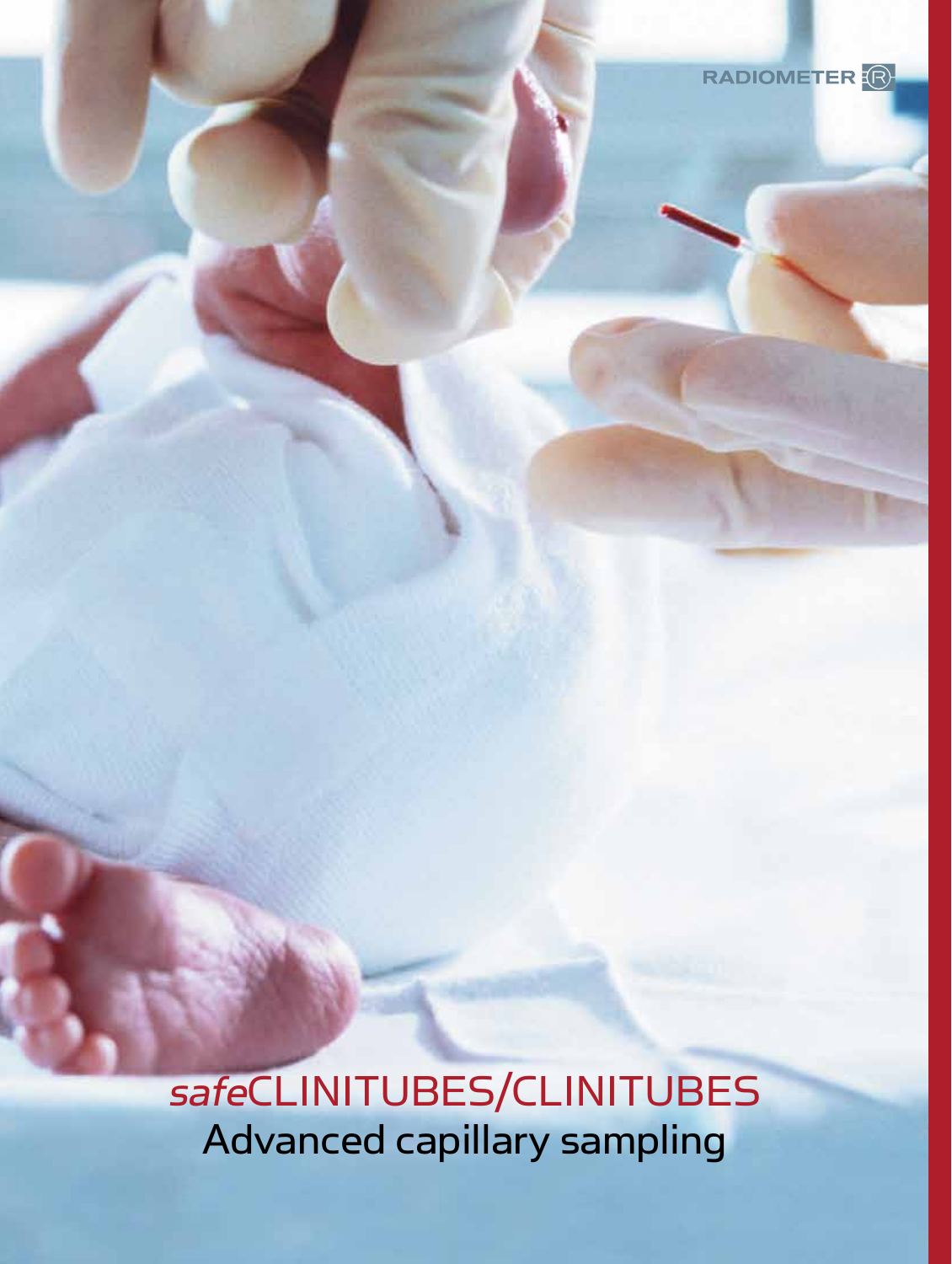

safeCLINITUBES/CLINITUBES Advanced capillary sampling